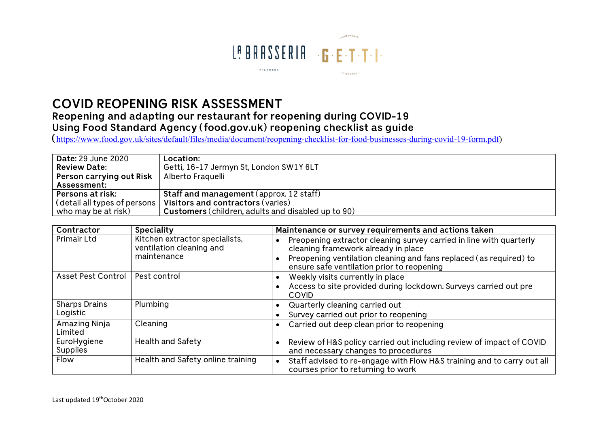

## **COVID REOPENING RISK ASSESSMENT**

## **Reopening and adapting our restaurant for reopening during COVID-19 Using Food Standard Agency (food.gov.uk) reopening checklist as guide**

**(**https://www.food.gov.uk/sites/default/files/media/document/reopening-checklist-for-food-businesses-during-covid-19-form.pdf)

| <b>Date: 29 June 2020</b>                  | Location:                                                 |
|--------------------------------------------|-----------------------------------------------------------|
| <b>Review Date:</b>                        | Getti, 16-17 Jermyn St, London SW1Y 6LT                   |
| <b>Person carrying out Risk</b>            | Alberto Fraquelli                                         |
| <b>Assessment:</b>                         |                                                           |
| Persons at risk:                           | <b>Staff and management</b> (approx. 12 staff)            |
| $\mid$ (detail all types of persons $\mid$ | Visitors and contractors (varies)                         |
| who may be at risk)                        | <b>Customers</b> (children, adults and disabled up to 90) |

| Contractor                     | <b>Speciality</b>                                                         | Maintenance or survey requirements and actions taken                                                                                                                                                                           |
|--------------------------------|---------------------------------------------------------------------------|--------------------------------------------------------------------------------------------------------------------------------------------------------------------------------------------------------------------------------|
| Primair Ltd                    | Kitchen extractor specialists,<br>ventilation cleaning and<br>maintenance | Preopening extractor cleaning survey carried in line with quarterly<br>cleaning framework already in place<br>Preopening ventilation cleaning and fans replaced (as required) to<br>ensure safe ventilation prior to reopening |
| Asset Pest Control             | Pest control                                                              | Weekly visits currently in place                                                                                                                                                                                               |
|                                |                                                                           | Access to site provided during lockdown. Surveys carried out pre<br><b>COVID</b>                                                                                                                                               |
| <b>Sharps Drains</b>           | Plumbing                                                                  | Quarterly cleaning carried out                                                                                                                                                                                                 |
| Logistic                       |                                                                           | Survey carried out prior to reopening                                                                                                                                                                                          |
| Amazing Ninja<br>Limited       | Cleaning                                                                  | Carried out deep clean prior to reopening                                                                                                                                                                                      |
| EuroHygiene<br><b>Supplies</b> | Health and Safety                                                         | Review of H&S policy carried out including review of impact of COVID<br>and necessary changes to procedures                                                                                                                    |
| Flow                           | Health and Safety online training                                         | Staff advised to re-engage with Flow H&S training and to carry out all<br>courses prior to returning to work                                                                                                                   |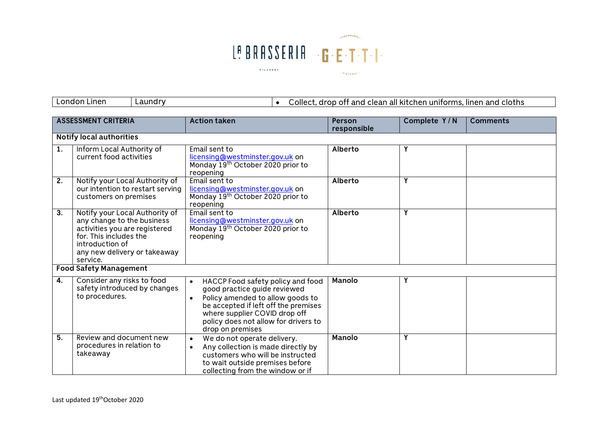

London Linen Laundry • Collect, drop off and clean all kitchen uniforms, linen and cloths

|    | <b>ASSESSMENT CRITERIA</b>                                                                                                                                                             | <b>Action taken</b>                                                                                                                                                                                                                                     | <b>Person</b><br>responsible | Complete Y/N | <b>Comments</b> |
|----|----------------------------------------------------------------------------------------------------------------------------------------------------------------------------------------|---------------------------------------------------------------------------------------------------------------------------------------------------------------------------------------------------------------------------------------------------------|------------------------------|--------------|-----------------|
|    | <b>Notify local authorities</b>                                                                                                                                                        |                                                                                                                                                                                                                                                         |                              |              |                 |
| 1. | Inform Local Authority of<br>current food activities                                                                                                                                   | Email sent to<br>licensing@westminster.gov.uk on<br>Monday 19 <sup>th</sup> October 2020 prior to<br>reopening                                                                                                                                          | Alberto                      | Υ            |                 |
| 2. | Notify your Local Authority of<br>our intention to restart serving<br>customers on premises                                                                                            | Email sent to<br>licensing@westminster.gov.uk on<br>Monday 19 <sup>th</sup> October 2020 prior to<br>reopening                                                                                                                                          | Alberto                      | Y            |                 |
| 3. | Notify your Local Authority of<br>any change to the business<br>activities you are registered<br>for. This includes the<br>introduction of<br>any new delivery or takeaway<br>service. | Email sent to<br>licensing@westminster.gov.uk on<br>Monday 19 <sup>th</sup> October 2020 prior to<br>reopening                                                                                                                                          | Alberto                      | Y            |                 |
|    | <b>Food Safety Management</b>                                                                                                                                                          |                                                                                                                                                                                                                                                         |                              |              |                 |
| 4. | Consider any risks to food<br>safety introduced by changes<br>to procedures.                                                                                                           | HACCP Food safety policy and food<br>good practice guide reviewed<br>Policy amended to allow goods to<br>$\bullet$<br>be accepted if left off the premises<br>where supplier COVID drop off<br>policy does not allow for drivers to<br>drop on premises | Manolo                       | Υ            |                 |
| 5. | Review and document new<br>procedures in relation to<br>takeaway                                                                                                                       | We do not operate delivery.<br>$\bullet$<br>Any collection is made directly by<br>customers who will be instructed<br>to wait outside premises before<br>collecting from the window or if                                                               | <b>Manolo</b>                | Y            |                 |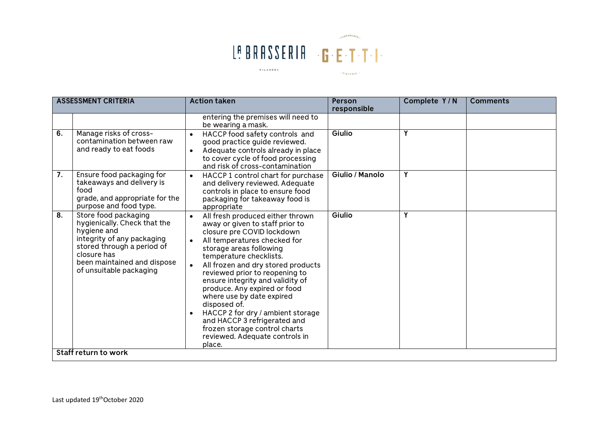

|                  | <b>ASSESSMENT CRITERIA</b>                                                                                                                                                                               | <b>Action taken</b>                                                                                                                                                                                                                                                                                                                                                                                                                                                                                                                             | Person<br>responsible | Complete Y/N | <b>Comments</b> |
|------------------|----------------------------------------------------------------------------------------------------------------------------------------------------------------------------------------------------------|-------------------------------------------------------------------------------------------------------------------------------------------------------------------------------------------------------------------------------------------------------------------------------------------------------------------------------------------------------------------------------------------------------------------------------------------------------------------------------------------------------------------------------------------------|-----------------------|--------------|-----------------|
|                  |                                                                                                                                                                                                          | entering the premises will need to<br>be wearing a mask.                                                                                                                                                                                                                                                                                                                                                                                                                                                                                        |                       |              |                 |
| $\overline{6}$ . | Manage risks of cross-<br>contamination between raw<br>and ready to eat foods                                                                                                                            | HACCP food safety controls and<br>good practice guide reviewed.<br>Adequate controls already in place<br>$\bullet$<br>to cover cycle of food processing<br>and risk of cross-contamination                                                                                                                                                                                                                                                                                                                                                      | Giulio                | Y            |                 |
| 7.               | Ensure food packaging for<br>takeaways and delivery is<br>food<br>grade, and appropriate for the<br>purpose and food type.                                                                               | HACCP 1 control chart for purchase<br>$\bullet$<br>and delivery reviewed. Adequate<br>controls in place to ensure food<br>packaging for takeaway food is<br>appropriate                                                                                                                                                                                                                                                                                                                                                                         | Giulio / Manolo       | Y            |                 |
| 8.               | Store food packaging<br>hygienically. Check that the<br>hygiene and<br>integrity of any packaging<br>stored through a period of<br>closure has<br>been maintained and dispose<br>of unsuitable packaging | All fresh produced either thrown<br>away or given to staff prior to<br>closure pre COVID lockdown<br>All temperatures checked for<br>$\bullet$<br>storage areas following<br>temperature checklists.<br>All frozen and dry stored products<br>reviewed prior to reopening to<br>ensure integrity and validity of<br>produce. Any expired or food<br>where use by date expired<br>disposed of.<br>HACCP 2 for dry / ambient storage<br>and HACCP 3 refrigerated and<br>frozen storage control charts<br>reviewed. Adequate controls in<br>place. | Giulio                | Y            |                 |
|                  | Staff return to work                                                                                                                                                                                     |                                                                                                                                                                                                                                                                                                                                                                                                                                                                                                                                                 |                       |              |                 |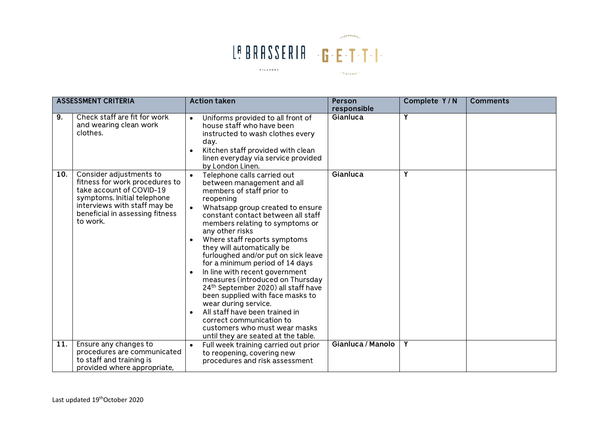

|     | <b>ASSESSMENT CRITERIA</b>                                                                                                                                                                          | <b>Action taken</b>                                                                                                                                                                                                                                                                                                                                                                                                                                                                                                                                                                                                                                                                                                 | Person                  | Complete Y/N | <b>Comments</b> |
|-----|-----------------------------------------------------------------------------------------------------------------------------------------------------------------------------------------------------|---------------------------------------------------------------------------------------------------------------------------------------------------------------------------------------------------------------------------------------------------------------------------------------------------------------------------------------------------------------------------------------------------------------------------------------------------------------------------------------------------------------------------------------------------------------------------------------------------------------------------------------------------------------------------------------------------------------------|-------------------------|--------------|-----------------|
| 9.  | Check staff are fit for work<br>and wearing clean work<br>clothes.                                                                                                                                  | Uniforms provided to all front of<br>$\bullet$<br>house staff who have been<br>instructed to wash clothes every<br>day.<br>Kitchen staff provided with clean<br>linen everyday via service provided<br>by London Linen.                                                                                                                                                                                                                                                                                                                                                                                                                                                                                             | responsible<br>Gianluca | Y            |                 |
| 10. | Consider adjustments to<br>fitness for work procedures to<br>take account of COVID-19<br>symptoms. Initial telephone<br>interviews with staff may be<br>beneficial in assessing fitness<br>to work. | Telephone calls carried out<br>$\bullet$<br>between management and all<br>members of staff prior to<br>reopening<br>Whatsapp group created to ensure<br>constant contact between all staff<br>members relating to symptoms or<br>any other risks<br>Where staff reports symptoms<br>they will automatically be<br>furloughed and/or put on sick leave<br>for a minimum period of 14 days<br>In line with recent government<br>measures (introduced on Thursday<br>24 <sup>th</sup> September 2020) all staff have<br>been supplied with face masks to<br>wear during service.<br>All staff have been trained in<br>correct communication to<br>customers who must wear masks<br>until they are seated at the table. | Gianluca                | Y            |                 |
| 11. | Ensure any changes to<br>procedures are communicated<br>to staff and training is<br>provided where appropriate,                                                                                     | Full week training carried out prior<br>$\bullet$<br>to reopening, covering new<br>procedures and risk assessment                                                                                                                                                                                                                                                                                                                                                                                                                                                                                                                                                                                                   | Gianluca / Manolo       | Y            |                 |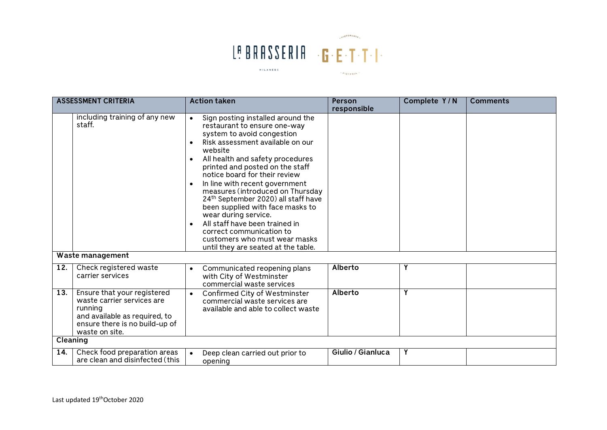

|          | <b>ASSESSMENT CRITERIA</b>                                                                                                                                | <b>Action taken</b>                                                                                                                                                                                                                                                                                                                                                                                                                                                                                                                                                               | Person            | Complete Y/N | <b>Comments</b> |
|----------|-----------------------------------------------------------------------------------------------------------------------------------------------------------|-----------------------------------------------------------------------------------------------------------------------------------------------------------------------------------------------------------------------------------------------------------------------------------------------------------------------------------------------------------------------------------------------------------------------------------------------------------------------------------------------------------------------------------------------------------------------------------|-------------------|--------------|-----------------|
|          | including training of any new<br>staff.                                                                                                                   | Sign posting installed around the<br>restaurant to ensure one-way<br>system to avoid congestion<br>Risk assessment available on our<br>website<br>All health and safety procedures<br>printed and posted on the staff<br>notice board for their review<br>In line with recent government<br>measures (introduced on Thursday<br>24 <sup>th</sup> September 2020) all staff have<br>been supplied with face masks to<br>wear during service.<br>All staff have been trained in<br>correct communication to<br>customers who must wear masks<br>until they are seated at the table. | responsible       |              |                 |
|          | Waste management                                                                                                                                          |                                                                                                                                                                                                                                                                                                                                                                                                                                                                                                                                                                                   |                   |              |                 |
| 12.      | Check registered waste<br>carrier services                                                                                                                | Communicated reopening plans<br>with City of Westminster<br>commercial waste services                                                                                                                                                                                                                                                                                                                                                                                                                                                                                             | Alberto           | Υ            |                 |
| 13.      | Ensure that your registered<br>waste carrier services are<br>running<br>and available as required, to<br>ensure there is no build-up of<br>waste on site. | Confirmed City of Westminster<br>commercial waste services are<br>available and able to collect waste                                                                                                                                                                                                                                                                                                                                                                                                                                                                             | Alberto           | Y            |                 |
| Cleaning |                                                                                                                                                           |                                                                                                                                                                                                                                                                                                                                                                                                                                                                                                                                                                                   |                   |              |                 |
| 14.      | Check food preparation areas<br>are clean and disinfected (this                                                                                           | Deep clean carried out prior to<br>opening                                                                                                                                                                                                                                                                                                                                                                                                                                                                                                                                        | Giulio / Gianluca | Y            |                 |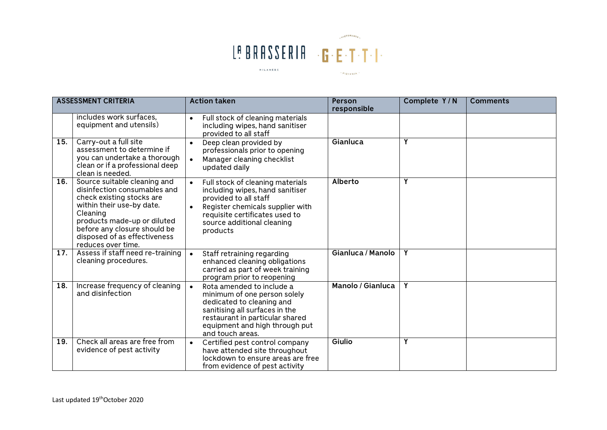

|     | <b>ASSESSMENT CRITERIA</b>                                                                                                                                                                                                                              | <b>Action taken</b>                                                                                                                                                                                                       | <b>Person</b><br>responsible | Complete Y/N | <b>Comments</b> |
|-----|---------------------------------------------------------------------------------------------------------------------------------------------------------------------------------------------------------------------------------------------------------|---------------------------------------------------------------------------------------------------------------------------------------------------------------------------------------------------------------------------|------------------------------|--------------|-----------------|
|     | includes work surfaces,<br>equipment and utensils)                                                                                                                                                                                                      | Full stock of cleaning materials<br>$\bullet$<br>including wipes, hand sanitiser<br>provided to all staff                                                                                                                 |                              |              |                 |
| 15. | Carry-out a full site<br>assessment to determine if<br>you can undertake a thorough<br>clean or if a professional deep<br>clean is needed.                                                                                                              | Deep clean provided by<br>$\bullet$<br>professionals prior to opening<br>Manager cleaning checklist<br>updated daily                                                                                                      | Gianluca                     | Y            |                 |
| 16. | Source suitable cleaning and<br>disinfection consumables and<br>check existing stocks are<br>within their use-by date.<br>Cleaning<br>products made-up or diluted<br>before any closure should be<br>disposed of as effectiveness<br>reduces over time. | Full stock of cleaning materials<br>$\bullet$<br>including wipes, hand sanitiser<br>provided to all staff<br>Register chemicals supplier with<br>requisite certificates used to<br>source additional cleaning<br>products | Alberto                      | Y            |                 |
| 17. | Assess if staff need re-training<br>cleaning procedures.                                                                                                                                                                                                | Staff retraining regarding<br>enhanced cleaning obligations<br>carried as part of week training<br>program prior to reopening                                                                                             | Gianluca / Manolo            | Y            |                 |
| 18. | Increase frequency of cleaning<br>and disinfection                                                                                                                                                                                                      | Rota amended to include a<br>minimum of one person solely<br>dedicated to cleaning and<br>sanitising all surfaces in the<br>restaurant in particular shared<br>equipment and high through put<br>and touch areas.         | Manolo / Gianluca            | Y            |                 |
| 19. | Check all areas are free from<br>evidence of pest activity                                                                                                                                                                                              | Certified pest control company<br>$\bullet$<br>have attended site throughout<br>lockdown to ensure areas are free<br>from evidence of pest activity                                                                       | Giulio                       | Y            |                 |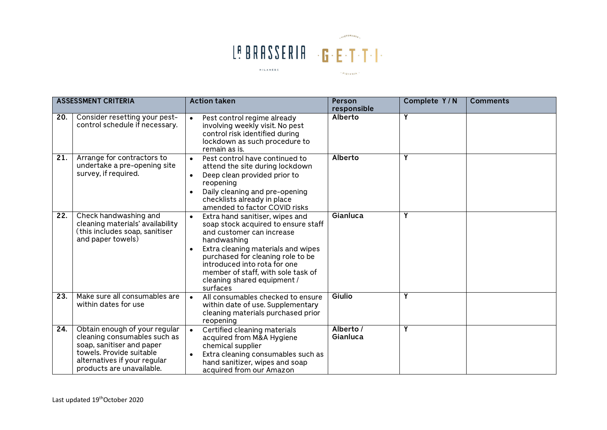

|                   | <b>ASSESSMENT CRITERIA</b>                                                                                                                                                          | <b>Action taken</b>                                                                                                                                                                                                                                                                                                         | Person<br>responsible | Complete Y/N | <b>Comments</b> |
|-------------------|-------------------------------------------------------------------------------------------------------------------------------------------------------------------------------------|-----------------------------------------------------------------------------------------------------------------------------------------------------------------------------------------------------------------------------------------------------------------------------------------------------------------------------|-----------------------|--------------|-----------------|
| 20.               | Consider resetting your pest-<br>control schedule if necessary.                                                                                                                     | Pest control regime already<br>involving weekly visit. No pest<br>control risk identified during<br>lockdown as such procedure to<br>remain as is.                                                                                                                                                                          | <b>Alberto</b>        | Υ            |                 |
| 21.               | Arrange for contractors to<br>undertake a pre-opening site<br>survey, if required.                                                                                                  | Pest control have continued to<br>$\bullet$<br>attend the site during lockdown<br>Deep clean provided prior to<br>$\bullet$<br>reopening<br>Daily cleaning and pre-opening<br>checklists already in place<br>amended to factor COVID risks                                                                                  | <b>Alberto</b>        | Υ            |                 |
| $\overline{22}$ . | Check handwashing and<br>cleaning materials' availability<br>(this includes soap, sanitiser<br>and paper towels)                                                                    | Extra hand sanitiser, wipes and<br>$\bullet$<br>soap stock acquired to ensure staff<br>and customer can increase<br>handwashing<br>Extra cleaning materials and wipes<br>purchased for cleaning role to be<br>introduced into rota for one<br>member of staff, with sole task of<br>cleaning shared equipment /<br>surfaces | Gianluca              | Υ            |                 |
| 23.               | Make sure all consumables are<br>within dates for use                                                                                                                               | All consumables checked to ensure<br>within date of use. Supplementary<br>cleaning materials purchased prior<br>reopening                                                                                                                                                                                                   | Giulio                | Υ            |                 |
| $\overline{24}$ . | Obtain enough of your regular<br>cleaning consumables such as<br>soap, sanitiser and paper<br>towels. Provide suitable<br>alternatives if your regular<br>products are unavailable. | Certified cleaning materials<br>acquired from M&A Hygiene<br>chemical supplier<br>Extra cleaning consumables such as<br>hand sanitizer, wipes and soap<br>acquired from our Amazon                                                                                                                                          | Alberto /<br>Gianluca | Υ            |                 |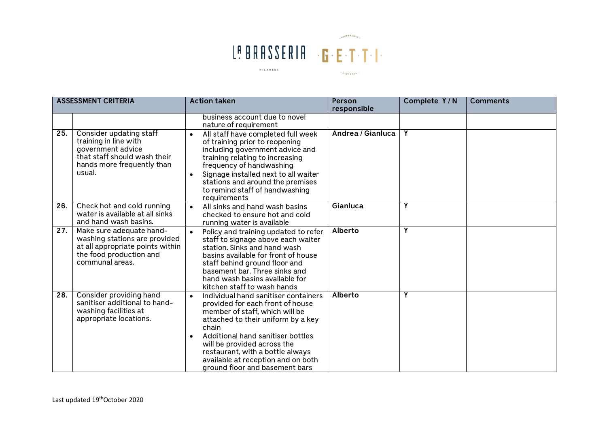

|     | <b>ASSESSMENT CRITERIA</b>                                                                                                                    | <b>Action taken</b>                                                                                                                                                                                                                                                                                                                                    | <b>Person</b>     | Complete Y/N | <b>Comments</b> |
|-----|-----------------------------------------------------------------------------------------------------------------------------------------------|--------------------------------------------------------------------------------------------------------------------------------------------------------------------------------------------------------------------------------------------------------------------------------------------------------------------------------------------------------|-------------------|--------------|-----------------|
|     |                                                                                                                                               |                                                                                                                                                                                                                                                                                                                                                        | responsible       |              |                 |
|     |                                                                                                                                               | business account due to novel<br>nature of requirement                                                                                                                                                                                                                                                                                                 |                   |              |                 |
| 25. | Consider updating staff<br>training in line with<br>government advice<br>that staff should wash their<br>hands more frequently than<br>usual. | All staff have completed full week<br>of training prior to reopening<br>including government advice and<br>training relating to increasing<br>frequency of handwashing<br>Signage installed next to all waiter<br>$\bullet$<br>stations and around the premises<br>to remind staff of handwashing<br>requirements                                      | Andrea / Gianluca | Y            |                 |
| 26. | Check hot and cold running<br>water is available at all sinks<br>and hand wash basins.                                                        | All sinks and hand wash basins<br>$\bullet$<br>checked to ensure hot and cold<br>running water is available                                                                                                                                                                                                                                            | Gianluca          | Y            |                 |
| 27. | Make sure adequate hand-<br>washing stations are provided<br>at all appropriate points within<br>the food production and<br>communal areas.   | Policy and training updated to refer<br>$\bullet$<br>staff to signage above each waiter<br>station. Sinks and hand wash<br>basins available for front of house<br>staff behind ground floor and<br>basement bar. Three sinks and<br>hand wash basins available for<br>kitchen staff to wash hands                                                      | <b>Alberto</b>    | Y            |                 |
| 28. | Consider providing hand<br>sanitiser additional to hand-<br>washing facilities at<br>appropriate locations.                                   | Individual hand sanitiser containers<br>$\bullet$<br>provided for each front of house<br>member of staff, which will be<br>attached to their uniform by a key<br>chain<br>Additional hand sanitiser bottles<br>will be provided across the<br>restaurant, with a bottle always<br>available at reception and on both<br>ground floor and basement bars | <b>Alberto</b>    | Y            |                 |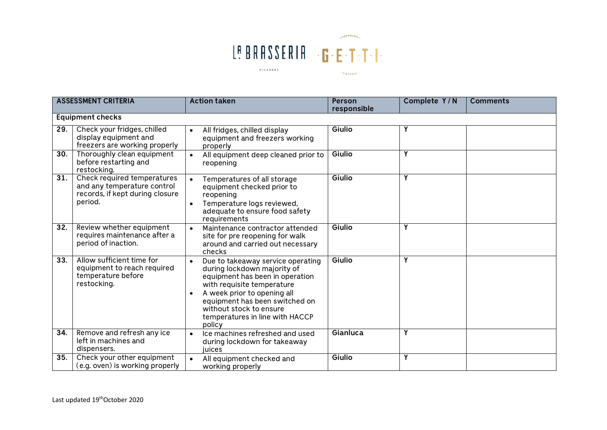

|                  | <b>ASSESSMENT CRITERIA</b>                                                                               | <b>Action taken</b>                                                                                                                                                                                                                                                                     | Person      | Complete Y/N | <b>Comments</b> |  |  |  |
|------------------|----------------------------------------------------------------------------------------------------------|-----------------------------------------------------------------------------------------------------------------------------------------------------------------------------------------------------------------------------------------------------------------------------------------|-------------|--------------|-----------------|--|--|--|
|                  |                                                                                                          |                                                                                                                                                                                                                                                                                         | responsible |              |                 |  |  |  |
|                  | <b>Equipment checks</b>                                                                                  |                                                                                                                                                                                                                                                                                         |             |              |                 |  |  |  |
| $\overline{29.}$ | Check your fridges, chilled<br>display equipment and<br>freezers are working properly                    | All fridges, chilled display<br>equipment and freezers working<br>properly                                                                                                                                                                                                              | Giulio      | Y            |                 |  |  |  |
| 30.              | Thoroughly clean equipment<br>before restarting and<br>restocking.                                       | All equipment deep cleaned prior to<br>$\bullet$<br>reopening                                                                                                                                                                                                                           | Giulio      | Y            |                 |  |  |  |
| 31.              | Check required temperatures<br>and any temperature control<br>records, if kept during closure<br>period. | Temperatures of all storage<br>$\bullet$<br>equipment checked prior to<br>reopening<br>Temperature logs reviewed,<br>adequate to ensure food safety<br>requirements                                                                                                                     | Giulio      | Y            |                 |  |  |  |
| 32.              | Review whether equipment<br>requires maintenance after a<br>period of inaction.                          | Maintenance contractor attended<br>$\bullet$<br>site for pre reopening for walk<br>around and carried out necessary<br>checks                                                                                                                                                           | Giulio      | Y            |                 |  |  |  |
| 33.              | Allow sufficient time for<br>equipment to reach required<br>temperature before<br>restocking.            | Due to takeaway service operating<br>$\bullet$<br>during lockdown majority of<br>equipment has been in operation<br>with requisite temperature<br>A week prior to opening all<br>equipment has been switched on<br>without stock to ensure<br>temperatures in line with HACCP<br>policy | Giulio      | Y            |                 |  |  |  |
| 34.              | Remove and refresh any ice<br>left in machines and<br>dispensers.                                        | Ice machines refreshed and used<br>during lockdown for takeaway<br>iuices                                                                                                                                                                                                               | Gianluca    | Υ            |                 |  |  |  |
| 35.              | Check your other equipment<br>(e.g. oven) is working properly                                            | All equipment checked and<br>$\bullet$<br>working properly                                                                                                                                                                                                                              | Giulio      | Y            |                 |  |  |  |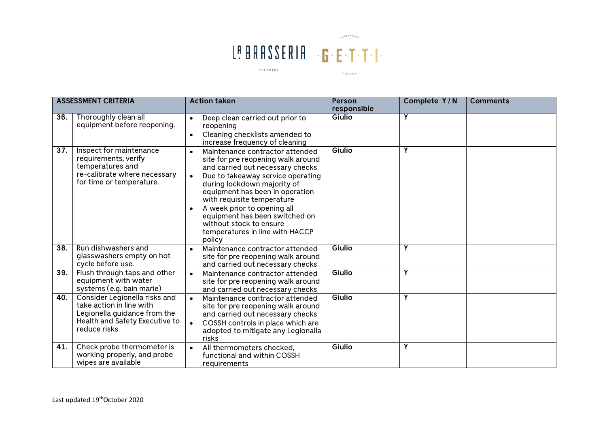

|                   | <b>ASSESSMENT CRITERIA</b>                                                                                                                   | <b>Action taken</b>                                                                                                                                                                                                                                                                                                                                                                                               | <b>Person</b><br>responsible | Complete Y/N | <b>Comments</b> |
|-------------------|----------------------------------------------------------------------------------------------------------------------------------------------|-------------------------------------------------------------------------------------------------------------------------------------------------------------------------------------------------------------------------------------------------------------------------------------------------------------------------------------------------------------------------------------------------------------------|------------------------------|--------------|-----------------|
| 36.               | Thoroughly clean all<br>equipment before reopening.                                                                                          | Deep clean carried out prior to<br>$\bullet$<br>reopening<br>Cleaning checklists amended to<br>$\bullet$<br>increase frequency of cleaning                                                                                                                                                                                                                                                                        | Giulio                       | Y            |                 |
| $\overline{37}$ . | Inspect for maintenance<br>requirements, verify<br>temperatures and<br>re-calibrate where necessary<br>for time or temperature.              | Maintenance contractor attended<br>$\bullet$<br>site for pre reopening walk around<br>and carried out necessary checks<br>Due to takeaway service operating<br>during lockdown majority of<br>equipment has been in operation<br>with requisite temperature<br>A week prior to opening all<br>$\bullet$<br>equipment has been switched on<br>without stock to ensure<br>temperatures in line with HACCP<br>policy | Giulio                       | Y            |                 |
| 38.               | Run dishwashers and<br>glasswashers empty on hot<br>cycle before use.                                                                        | Maintenance contractor attended<br>site for pre reopening walk around<br>and carried out necessary checks                                                                                                                                                                                                                                                                                                         | Giulio                       | Y            |                 |
| 39.               | Flush through taps and other<br>equipment with water<br>systems (e.g. bain marie)                                                            | Maintenance contractor attended<br>$\bullet$<br>site for pre reopening walk around<br>and carried out necessary checks                                                                                                                                                                                                                                                                                            | Giulio                       | Y            |                 |
| 40.               | Consider Legionella risks and<br>take action in line with<br>Legionella guidance from the<br>Health and Safety Executive to<br>reduce risks. | Maintenance contractor attended<br>$\bullet$<br>site for pre reopening walk around<br>and carried out necessary checks<br>COSSH controls in place which are<br>$\bullet$<br>adopted to mitigate any Legionalla<br>risks                                                                                                                                                                                           | Giulio                       | Y            |                 |
| 41.               | Check probe thermometer is<br>working properly, and probe<br>wipes are available                                                             | All thermometers checked,<br>$\bullet$<br>functional and within COSSH<br>requirements                                                                                                                                                                                                                                                                                                                             | Giulio                       | Y            |                 |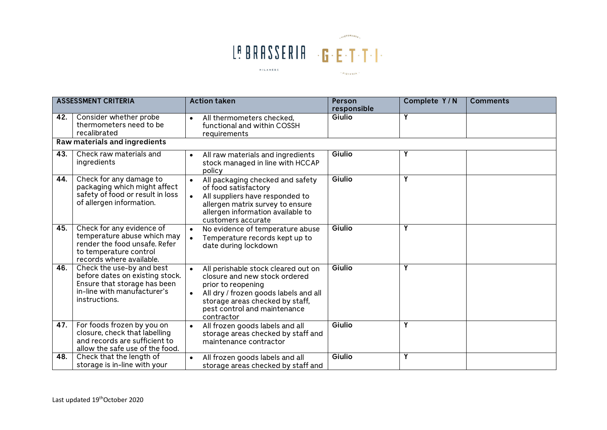

|     | <b>ASSESSMENT CRITERIA</b>                                                                                                                      | <b>Action taken</b>                                                                                                                                                                                                  | <b>Person</b><br>responsible | Complete Y/N | <b>Comments</b> |
|-----|-------------------------------------------------------------------------------------------------------------------------------------------------|----------------------------------------------------------------------------------------------------------------------------------------------------------------------------------------------------------------------|------------------------------|--------------|-----------------|
| 42. | Consider whether probe<br>thermometers need to be<br>recalibrated                                                                               | All thermometers checked,<br>functional and within COSSH<br>requirements                                                                                                                                             | Giulio                       | Y            |                 |
|     | Raw materials and ingredients                                                                                                                   |                                                                                                                                                                                                                      |                              |              |                 |
| 43. | Check raw materials and<br>ingredients                                                                                                          | All raw materials and ingredients<br>stock managed in line with HCCAP<br>policy                                                                                                                                      | Giulio                       | Y            |                 |
| 44. | Check for any damage to<br>packaging which might affect<br>safety of food or result in loss<br>of allergen information.                         | All packaging checked and safety<br>of food satisfactory<br>All suppliers have responded to<br>allergen matrix survey to ensure<br>allergen information available to<br>customers accurate                           | Giulio                       | Y            |                 |
| 45. | Check for any evidence of<br>temperature abuse which may<br>render the food unsafe. Refer<br>to temperature control<br>records where available. | No evidence of temperature abuse<br>Temperature records kept up to<br>date during lockdown                                                                                                                           | Giulio                       | Υ            |                 |
| 46. | Check the use-by and best<br>before dates on existing stock.<br>Ensure that storage has been<br>in-line with manufacturer's<br>instructions.    | All perishable stock cleared out on<br>closure and new stock ordered<br>prior to reopening<br>All dry / frozen goods labels and all<br>storage areas checked by staff,<br>pest control and maintenance<br>contractor | Giulio                       | Υ            |                 |
| 47. | For foods frozen by you on<br>closure, check that labelling<br>and records are sufficient to<br>allow the safe use of the food.                 | All frozen goods labels and all<br>$\bullet$<br>storage areas checked by staff and<br>maintenance contractor                                                                                                         | Giulio                       | Y            |                 |
| 48. | Check that the length of<br>storage is in-line with your                                                                                        | All frozen goods labels and all<br>storage areas checked by staff and                                                                                                                                                | Giulio                       | Y            |                 |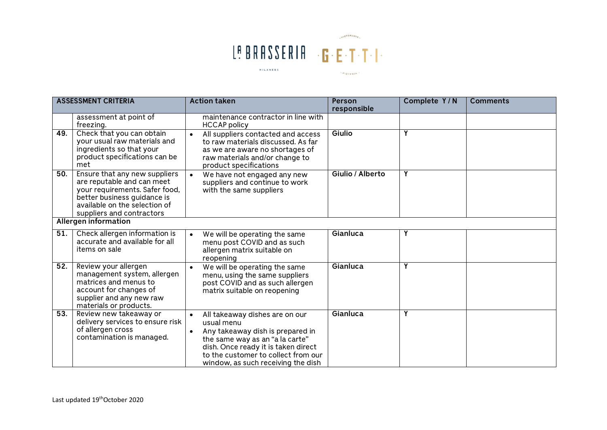

| <b>ASSESSMENT CRITERIA</b> |                                                                                                                                                                                            | <b>Action taken</b>                                                                                                                                                                                                                     | Person<br>responsible | Complete Y/N | <b>Comments</b> |  |
|----------------------------|--------------------------------------------------------------------------------------------------------------------------------------------------------------------------------------------|-----------------------------------------------------------------------------------------------------------------------------------------------------------------------------------------------------------------------------------------|-----------------------|--------------|-----------------|--|
|                            | assessment at point of<br>freezing.                                                                                                                                                        | maintenance contractor in line with<br><b>HCCAP</b> policy                                                                                                                                                                              |                       |              |                 |  |
| 49.                        | Check that you can obtain<br>your usual raw materials and<br>ingredients so that your<br>product specifications can be<br>met                                                              | All suppliers contacted and access<br>to raw materials discussed. As far<br>as we are aware no shortages of<br>raw materials and/or change to<br>product specifications                                                                 | Giulio                | Υ            |                 |  |
| 50.                        | Ensure that any new suppliers<br>are reputable and can meet<br>your requirements. Safer food,<br>better business guidance is<br>available on the selection of<br>suppliers and contractors | We have not engaged any new<br>suppliers and continue to work<br>with the same suppliers                                                                                                                                                | Giulio / Alberto      | Υ            |                 |  |
|                            | Allergen information                                                                                                                                                                       |                                                                                                                                                                                                                                         |                       |              |                 |  |
| 51.                        | Check allergen information is<br>accurate and available for all<br>items on sale                                                                                                           | We will be operating the same<br>menu post COVID and as such<br>allergen matrix suitable on<br>reopening                                                                                                                                | Gianluca              | Υ            |                 |  |
| 52.                        | Review your allergen<br>management system, allergen<br>matrices and menus to<br>account for changes of<br>supplier and any new raw<br>materials or products.                               | We will be operating the same<br>menu, using the same suppliers<br>post COVID and as such allergen<br>matrix suitable on reopening                                                                                                      | Gianluca              | Y            |                 |  |
| 53.                        | Review new takeaway or<br>delivery services to ensure risk<br>of allergen cross<br>contamination is managed.                                                                               | All takeaway dishes are on our<br>usual menu<br>Any takeaway dish is prepared in<br>the same way as an "a la carte"<br>dish. Once ready it is taken direct<br>to the customer to collect from our<br>window, as such receiving the dish | Gianluca              | Υ            |                 |  |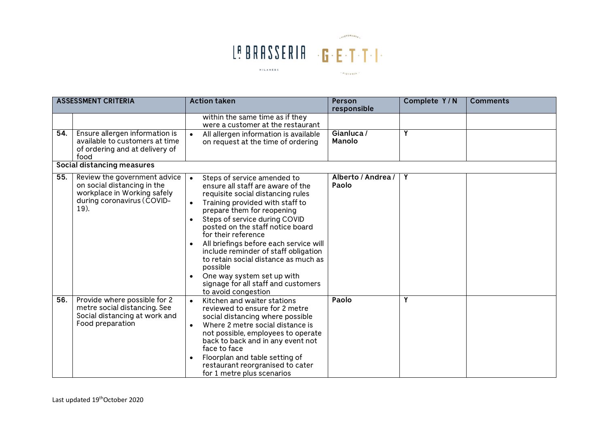

| <b>ASSESSMENT CRITERIA</b> |                                                                                                                                  | <b>Action taken</b>                                                                                                                                                                                                                                                                                                                                                                                                                                                                                  | Person<br>responsible       | Complete Y/N | <b>Comments</b> |  |
|----------------------------|----------------------------------------------------------------------------------------------------------------------------------|------------------------------------------------------------------------------------------------------------------------------------------------------------------------------------------------------------------------------------------------------------------------------------------------------------------------------------------------------------------------------------------------------------------------------------------------------------------------------------------------------|-----------------------------|--------------|-----------------|--|
|                            |                                                                                                                                  | within the same time as if they<br>were a customer at the restaurant                                                                                                                                                                                                                                                                                                                                                                                                                                 |                             |              |                 |  |
| 54.                        | Ensure allergen information is<br>available to customers at time<br>of ordering and at delivery of<br>food                       | All allergen information is available<br>on request at the time of ordering                                                                                                                                                                                                                                                                                                                                                                                                                          | Gianluca/<br><b>Manolo</b>  | Υ            |                 |  |
|                            | Social distancing measures                                                                                                       |                                                                                                                                                                                                                                                                                                                                                                                                                                                                                                      |                             |              |                 |  |
| 55.                        | Review the government advice<br>on social distancing in the<br>workplace in Working safely<br>during coronavirus (COVID-<br>19). | Steps of service amended to<br>ensure all staff are aware of the<br>requisite social distancing rules<br>Training provided with staff to<br>prepare them for reopening<br>Steps of service during COVID<br>posted on the staff notice board<br>for their reference<br>All briefings before each service will<br>include reminder of staff obligation<br>to retain social distance as much as<br>possible<br>One way system set up with<br>signage for all staff and customers<br>to avoid congestion | Alberto / Andrea /<br>Paolo | Y            |                 |  |
| 56.                        | Provide where possible for 2<br>metre social distancing. See<br>Social distancing at work and<br>Food preparation                | Kitchen and waiter stations<br>reviewed to ensure for 2 metre<br>social distancing where possible<br>Where 2 metre social distance is<br>not possible, employees to operate<br>back to back and in any event not<br>face to face<br>Floorplan and table setting of<br>$\bullet$<br>restaurant reorgranised to cater<br>for 1 metre plus scenarios                                                                                                                                                    | Paolo                       | Υ            |                 |  |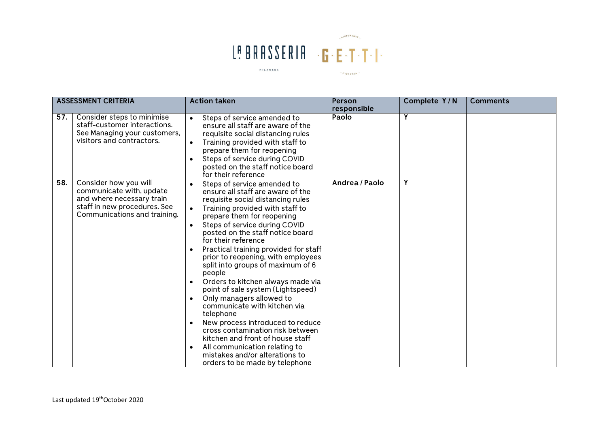

| <b>ASSESSMENT CRITERIA</b>                                                                                                                            | <b>Action taken</b>                                                                                                                                                                                                                                                                                                                                                                                                                                                                                                                                                                                                                                                                                                                                                                                                      | <b>Person</b>        | Complete Y/N | <b>Comments</b> |
|-------------------------------------------------------------------------------------------------------------------------------------------------------|--------------------------------------------------------------------------------------------------------------------------------------------------------------------------------------------------------------------------------------------------------------------------------------------------------------------------------------------------------------------------------------------------------------------------------------------------------------------------------------------------------------------------------------------------------------------------------------------------------------------------------------------------------------------------------------------------------------------------------------------------------------------------------------------------------------------------|----------------------|--------------|-----------------|
| 57.<br>Consider steps to minimise<br>staff-customer interactions.<br>See Managing your customers,<br>visitors and contractors.                        | Steps of service amended to<br>ensure all staff are aware of the<br>requisite social distancing rules<br>Training provided with staff to<br>$\bullet$<br>prepare them for reopening<br>Steps of service during COVID<br>$\bullet$<br>posted on the staff notice board<br>for their reference                                                                                                                                                                                                                                                                                                                                                                                                                                                                                                                             | responsible<br>Paolo | Υ            |                 |
| 58.<br>Consider how you will<br>communicate with, update<br>and where necessary train<br>staff in new procedures. See<br>Communications and training. | Steps of service amended to<br>ensure all staff are aware of the<br>requisite social distancing rules<br>Training provided with staff to<br>prepare them for reopening<br>Steps of service during COVID<br>$\bullet$<br>posted on the staff notice board<br>for their reference<br>Practical training provided for staff<br>$\bullet$<br>prior to reopening, with employees<br>split into groups of maximum of 6<br>people<br>Orders to kitchen always made via<br>$\bullet$<br>point of sale system (Lightspeed)<br>Only managers allowed to<br>communicate with kitchen via<br>telephone<br>New process introduced to reduce<br>cross contamination risk between<br>kitchen and front of house staff<br>All communication relating to<br>$\bullet$<br>mistakes and/or alterations to<br>orders to be made by telephone | Andrea / Paolo       | Y            |                 |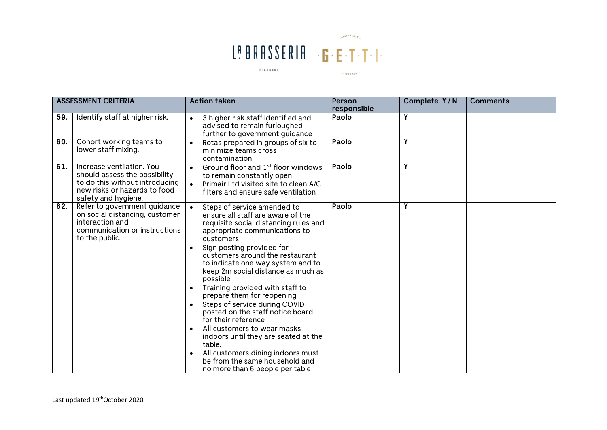

| <b>ASSESSMENT CRITERIA</b> |                                                                                                                                                     | <b>Action taken</b>                                                                                                                                                                                                                                                                                                                                                                                                                                                                                                                                                                                                                                                                                           | <b>Person</b><br>responsible | Complete Y/N | <b>Comments</b> |
|----------------------------|-----------------------------------------------------------------------------------------------------------------------------------------------------|---------------------------------------------------------------------------------------------------------------------------------------------------------------------------------------------------------------------------------------------------------------------------------------------------------------------------------------------------------------------------------------------------------------------------------------------------------------------------------------------------------------------------------------------------------------------------------------------------------------------------------------------------------------------------------------------------------------|------------------------------|--------------|-----------------|
| 59.                        | Identify staff at higher risk.                                                                                                                      | 3 higher risk staff identified and<br>$\bullet$<br>advised to remain furloughed<br>further to government guidance                                                                                                                                                                                                                                                                                                                                                                                                                                                                                                                                                                                             | Paolo                        | Υ            |                 |
| 60.                        | Cohort working teams to<br>lower staff mixing.                                                                                                      | Rotas prepared in groups of six to<br>$\bullet$<br>minimize teams cross<br>contamination                                                                                                                                                                                                                                                                                                                                                                                                                                                                                                                                                                                                                      | Paolo                        | Υ            |                 |
| 61.                        | Increase ventilation. You<br>should assess the possibility<br>to do this without introducing<br>new risks or hazards to food<br>safety and hygiene. | Ground floor and 1 <sup>st</sup> floor windows<br>to remain constantly open<br>Primair Ltd visited site to clean A/C<br>$\bullet$<br>filters and ensure safe ventilation                                                                                                                                                                                                                                                                                                                                                                                                                                                                                                                                      | Paolo                        | Ÿ            |                 |
| 62.                        | Refer to government guidance<br>on social distancing, customer<br>interaction and<br>communication or instructions<br>to the public.                | Steps of service amended to<br>$\bullet$<br>ensure all staff are aware of the<br>requisite social distancing rules and<br>appropriate communications to<br>customers<br>Sign posting provided for<br>$\bullet$<br>customers around the restaurant<br>to indicate one way system and to<br>keep 2m social distance as much as<br>possible<br>Training provided with staff to<br>prepare them for reopening<br>Steps of service during COVID<br>posted on the staff notice board<br>for their reference<br>All customers to wear masks<br>indoors until they are seated at the<br>table.<br>All customers dining indoors must<br>$\bullet$<br>be from the same household and<br>no more than 6 people per table | Paolo                        | Υ            |                 |